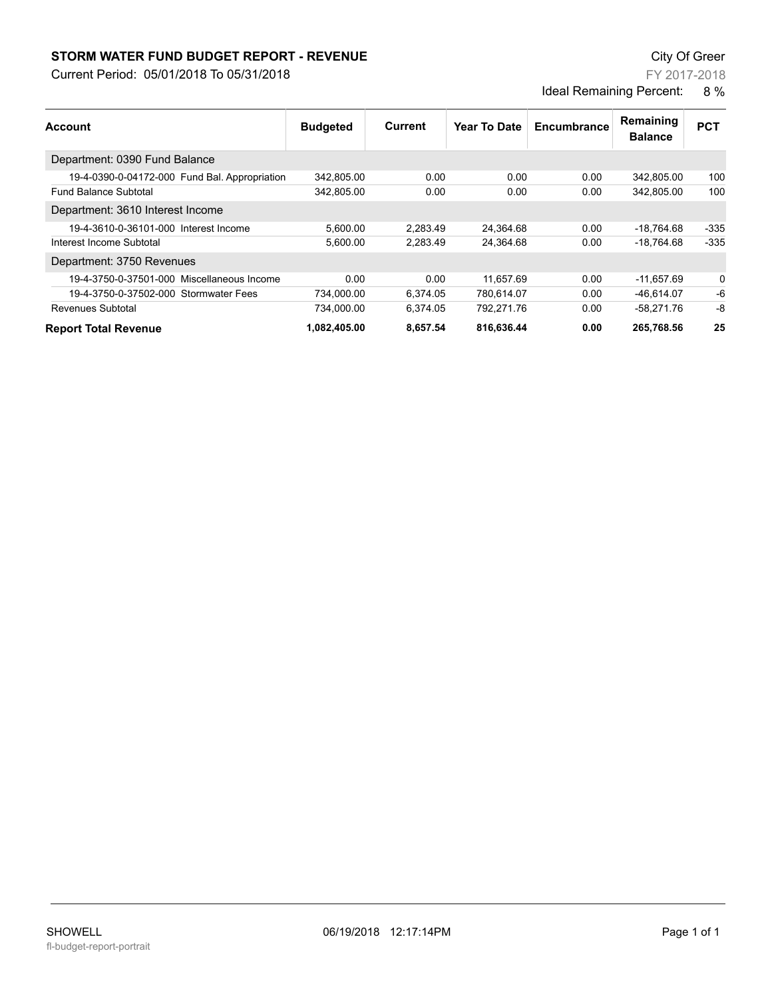## **STORM WATER FUND BUDGET REPORT - REVENUE City Of Greer** City Of Greer

Current Period: 05/01/2018 To 05/31/2018

FY 2017-2018 Ideal Remaining Percent: 8 %

| <b>Account</b>                                | <b>Budgeted</b> | Current  | <b>Year To Date</b> | Encumbrance | Remaining<br><b>Balance</b> | <b>PCT</b> |
|-----------------------------------------------|-----------------|----------|---------------------|-------------|-----------------------------|------------|
| Department: 0390 Fund Balance                 |                 |          |                     |             |                             |            |
| 19-4-0390-0-04172-000 Fund Bal. Appropriation | 342,805.00      | 0.00     | 0.00                | 0.00        | 342.805.00                  | 100        |
| <b>Fund Balance Subtotal</b>                  | 342,805.00      | 0.00     | 0.00                | 0.00        | 342.805.00                  | 100        |
| Department: 3610 Interest Income              |                 |          |                     |             |                             |            |
| 19-4-3610-0-36101-000 Interest Income         | 5,600.00        | 2.283.49 | 24,364.68           | 0.00        | -18,764.68                  | $-335$     |
| Interest Income Subtotal                      | 5.600.00        | 2,283.49 | 24,364.68           | 0.00        | $-18.764.68$                | $-335$     |
| Department: 3750 Revenues                     |                 |          |                     |             |                             |            |
| 19-4-3750-0-37501-000 Miscellaneous Income    | 0.00            | 0.00     | 11,657.69           | 0.00        | $-11,657.69$                | 0          |
| 19-4-3750-0-37502-000 Stormwater Fees         | 734.000.00      | 6.374.05 | 780.614.07          | 0.00        | -46.614.07                  | -6         |
| Revenues Subtotal                             | 734.000.00      | 6.374.05 | 792.271.76          | 0.00        | -58.271.76                  | -8         |
| <b>Report Total Revenue</b>                   | 1,082,405.00    | 8,657.54 | 816.636.44          | 0.00        | 265,768.56                  | 25         |